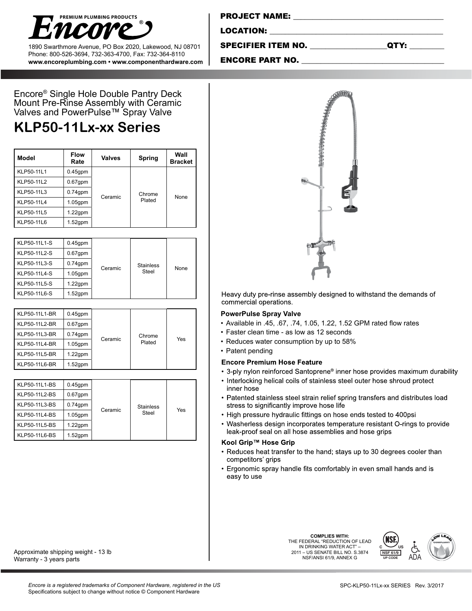

1890 Swarthmore Avenue, PO Box 2020, Lakewood, NJ 08701 Phone: 800-526-3694, 732-363-4700, Fax: 732-364-8110 **www.encoreplumbing.com • www.componenthardware.com**

Encore® Single Hole Double Pantry Deck Mount Pre-Rinse Assembly with Ceramic Valves and PowerPulse™ Spray Valve

# **KLP50-11Lx-xx Series**

| Model      | <b>Flow</b><br>Rate | Valves  | Spring           | Wall<br><b>Bracket</b> |
|------------|---------------------|---------|------------------|------------------------|
| KLP50-11L1 | $0.45$ gpm          | Ceramic | Chrome<br>Plated | None                   |
| KLP50-11L2 | $0.67$ gpm          |         |                  |                        |
| KLP50-11L3 | $0.74$ gpm          |         |                  |                        |
| KLP50-11L4 | $1.05$ gpm          |         |                  |                        |
| KLP50-11L5 | $1.22$ gpm          |         |                  |                        |
| KLP50-11L6 | $1.52$ gpm          |         |                  |                        |

| KLP50-11L1-S<br>KLP50-11L2-S<br>KLP50-11L3-S<br>KLP50-11L4-S<br>KLP50-11L5-S | $0.45$ gpm<br>$0.67$ gpm<br>$0.74$ gpm<br>$1.05$ gpm<br>$1.22$ gpm | Ceramic | <b>Stainless</b><br>Steel | None |
|------------------------------------------------------------------------------|--------------------------------------------------------------------|---------|---------------------------|------|
| KLP50-11L6-S                                                                 | $1.52$ gpm                                                         |         |                           |      |

| KLP50-11L1-BR | $0.45$ gpm | Ceramic | Chrome<br>Plated | Yes |
|---------------|------------|---------|------------------|-----|
| KLP50-11L2-BR | $0.67$ gpm |         |                  |     |
| KLP50-11L3-BR | $0.74$ gpm |         |                  |     |
| KLP50-11L4-BR | $1.05$ gpm |         |                  |     |
| KLP50-11L5-BR | $1.22$ gpm |         |                  |     |
| KLP50-11L6-BR | $1.52$ gpm |         |                  |     |

| KLP50-11L1-BS<br>KLP50-11L2-BS<br>KLP50-11L3-BS<br>KLP50-11L4-BS<br>KLP50-11L5-BS | $0.45$ gpm<br>$0.67$ gpm<br>$0.74$ gpm<br>$1.05$ gpm<br>$1.22$ gpm | Ceramic | <b>Stainless</b><br>Steel | Yes |
|-----------------------------------------------------------------------------------|--------------------------------------------------------------------|---------|---------------------------|-----|
| KLP50-11L6-BS                                                                     | $1.52$ gpm                                                         |         |                           |     |

#### Approximate shipping weight - 13 lb Warranty - 3 years parts

PROJECT NAME: \_\_\_\_\_\_\_\_\_\_\_\_\_\_\_\_\_\_\_\_\_\_\_\_\_\_\_\_\_\_\_\_\_\_\_\_\_\_\_

LOCATION:

SPECIFIER ITEM NO. \_\_\_\_\_\_\_\_\_\_\_\_\_\_\_\_\_\_\_\_QTY: \_\_\_\_\_\_\_\_\_

ENCORE PART NO.



Heavy duty pre-rinse assembly designed to withstand the demands of commercial operations.

#### **PowerPulse Spray Valve**

- • Available in .45, .67, .74, 1.05, 1.22, 1.52 GPM rated flow rates
- Faster clean time as low as 12 seconds
- Reduces water consumption by up to 58%
- Patent pending

### **Encore Premium Hose Feature**

- 3-ply nylon reinforced Santoprene<sup>®</sup> inner hose provides maximum durability
- Interlocking helical coils of stainless steel outer hose shroud protect inner hose
- Patented stainless steel strain relief spring transfers and distributes load stress to significantly improve hose life
- High pressure hydraulic fittings on hose ends tested to 400psi
- Washerless design incorporates temperature resistant O-rings to provide leak-proof seal on all hose assemblies and hose grips

## Kool Grip™ Hose Grip

- Reduces heat transfer to the hand; stays up to 30 degrees cooler than competitors' grips
- Ergonomic spray handle fits comfortably in even small hands and is easy to use

**COMPLIES WITH:** THE FEDERAL "REDUCTION OF LEAD IN DRINKING WATER ACT" 2011 – US SENATE BILL NO. S.3874 NSF/ANSI 61/9, ANNEX G